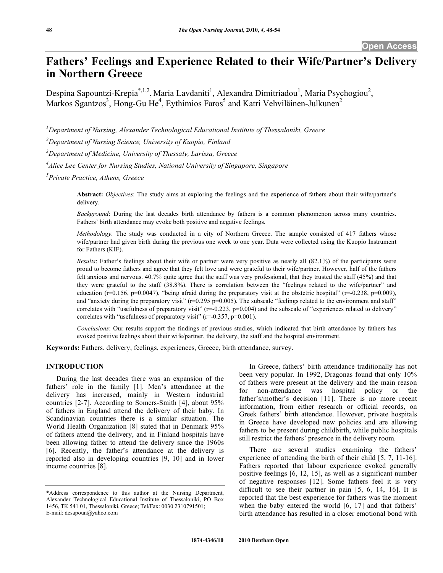# **Fathers' Feelings and Experience Related to their Wife/Partner's Delivery in Northern Greece**

Despina Sapountzi-Krepia<sup>\*,1,2</sup>, Maria Lavdaniti<sup>1</sup>, Alexandra Dimitriadou<sup>1</sup>, Maria Psychogiou<sup>2</sup>, Markos Sgantzos<sup>3</sup>, Hong-Gu He<sup>4</sup>, Eythimios Faros<sup>5</sup> and Katri Vehviläinen-Julkunen<sup>2</sup>

*1 Department of Nursing, Alexander Technological Educational Institute of Thessaloniki, Greece* 

*2 Department of Nursing Science, University of Kuopio, Finland* 

*3 Department of Medicine, University of Thessaly, Larissa, Greece* 

*4 Alice Lee Center for Nursing Studies, National University of Singapore, Singapore* 

*5 Private Practice, Athens, Greece* 

**Abstract:** *Objectives*: The study aims at exploring the feelings and the experience of fathers about their wife/partner's delivery.

*Background*: During the last decades birth attendance by fathers is a common phenomenon across many countries. Fathers' birth attendance may evoke both positive and negative feelings.

*Methodology*: The study was conducted in a city of Northern Greece. The sample consisted of 417 fathers whose wife/partner had given birth during the previous one week to one year. Data were collected using the Kuopio Instrument for Fathers (KIF).

*Results*: Father's feelings about their wife or partner were very positive as nearly all (82.1%) of the participants were proud to become fathers and agree that they felt love and were grateful to their wife/partner. However, half of the fathers felt anxious and nervous. 40.7% quite agree that the staff was very professional, that they trusted the staff (45%) and that they were grateful to the staff (38.8%). There is correlation between the "feelings related to the wife/partner" and education ( $r=0.156$ ,  $p=0.0047$ ), "being afraid during the preparatory visit at the obstetric hospital" ( $r=0.238$ ,  $p=0.009$ ), and "anxiety during the preparatory visit"  $(r=0.295 \text{ p} = 0.005)$ . The subscale "feelings related to the environment and staff" correlates with "usefulness of preparatory visit"  $(r=0.223, p=0.004)$  and the subscale of "experiences related to delivery" correlates with "usefulness of preparatory visit" ( $r=-0.357$ ,  $p=0.001$ ).

*Conclusions*: Our results support the findings of previous studies, which indicated that birth attendance by fathers has evoked positive feelings about their wife/partner, the delivery, the staff and the hospital environment.

**Keywords:** Fathers, delivery, feelings, experiences, Greece, birth attendance, survey.

#### **INTRODUCTION**

 During the last decades there was an expansion of the fathers' role in the family [1]. Men's attendance at the delivery has increased, mainly in Western industrial countries [2-7]. According to Somers-Smith [4], about 95% of fathers in England attend the delivery of their baby. In Scandinavian countries there is a similar situation. The World Health Organization [8] stated that in Denmark 95% of fathers attend the delivery, and in Finland hospitals have been allowing father to attend the delivery since the 1960s [6]. Recently, the father's attendance at the delivery is reported also in developing countries [9, 10] and in lower income countries [8].

 In Greece, fathers' birth attendance traditionally has not been very popular. In 1992, Dragonas found that only 10% of fathers were present at the delivery and the main reason for non-attendance was hospital policy or the father's/mother's decision [11]. There is no more recent information, from either research or official records, on Greek fathers' birth attendance. However, private hospitals in Greece have developed new policies and are allowing fathers to be present during childbirth, while public hospitals still restrict the fathers' presence in the delivery room.

 There are several studies examining the fathers' experience of attending the birth of their child [5, 7, 11-16]. Fathers reported that labour experience evoked generally positive feelings [6, 12, 15], as well as a significant number of negative responses [12]. Some fathers feel it is very difficult to see their partner in pain [5, 6, 14, 16]. It is reported that the best experience for fathers was the moment when the baby entered the world [6, 17] and that fathers' birth attendance has resulted in a closer emotional bond with

<sup>\*</sup>Address correspondence to this author at the Nursing Department, Alexander Technological Educational Institute of Thessaloniki, PO Box 1456, TK 541 01, Thessaloniki, Greece; Tel/Fax: 0030 2310791501; E-mail: desapoun@yahoo.com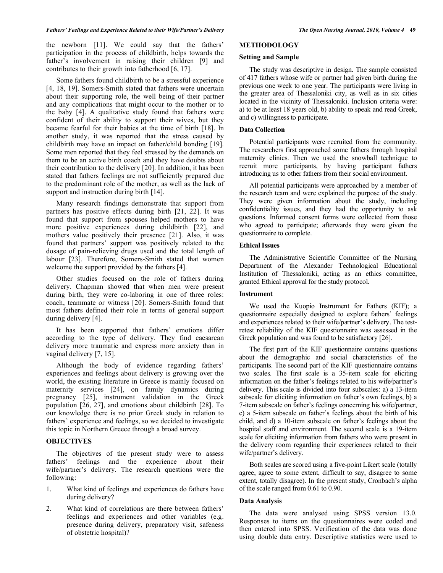the newborn [11]. We could say that the fathers' participation in the process of childbirth, helps towards the father's involvement in raising their children [9] and contributes to their growth into fatherhood [6, 17].

 Some fathers found childbirth to be a stressful experience [4, 18, 19]. Somers-Smith stated that fathers were uncertain about their supporting role, the well being of their partner and any complications that might occur to the mother or to the baby [4]. A qualitative study found that fathers were confident of their ability to support their wives, but they became fearful for their babies at the time of birth [18]. In another study, it was reported that the stress caused by childbirth may have an impact on father/child bonding [19]. Some men reported that they feel stressed by the demands on them to be an active birth coach and they have doubts about their contribution to the delivery [20]. In addition, it has been stated that fathers feelings are not sufficiently prepared due to the predominant role of the mother, as well as the lack of support and instruction during birth [14].

 Many research findings demonstrate that support from partners has positive effects during birth [21, 22]. It was found that support from spouses helped mothers to have more positive experiences during childbirth [22], and mothers value positively their presence [21]. Also, it was found that partners' support was positively related to the dosage of pain-relieving drugs used and the total length of labour [23]. Therefore, Somers-Smith stated that women welcome the support provided by the fathers [4].

 Other studies focused on the role of fathers during delivery. Chapman showed that when men were present during birth, they were co-laboring in one of three roles: coach, teammate or witness [20]. Somers-Smith found that most fathers defined their role in terms of general support during delivery [4].

 It has been supported that fathers' emotions differ according to the type of delivery. They find caesarean delivery more traumatic and express more anxiety than in vaginal delivery [7, 15].

 Although the body of evidence regarding fathers' experiences and feelings about delivery is growing over the world, the existing literature in Greece is mainly focused on maternity services [24], on family dynamics during pregnancy [25], instrument validation in the Greek population [26, 27], and emotions about childbirth [28]. To our knowledge there is no prior Greek study in relation to fathers' experience and feelings, so we decided to investigate this topic in Northern Greece through a broad survey.

## **OBJECTIVES**

 The objectives of the present study were to assess fathers' feelings and the experience about their wife/partner's delivery. The research questions were the following:

- 1. What kind of feelings and experiences do fathers have during delivery?
- 2. What kind of correlations are there between fathers' feelings and experiences and other variables (e.g. presence during delivery, preparatory visit, safeness of obstetric hospital)?

#### **METHODOLOGY**

#### **Setting and Sample**

 The study was descriptive in design. The sample consisted of 417 fathers whose wife or partner had given birth during the previous one week to one year. The participants were living in the greater area of Thessaloniki city, as well as in six cities located in the vicinity of Thessaloniki. Inclusion criteria were: a) to be at least 18 years old, b) ability to speak and read Greek, and c) willingness to participate.

#### **Data Collection**

 Potential participants were recruited from the community. The researchers first approached some fathers through hospital maternity clinics. Then we used the snowball technique to recruit more participants, by having participant fathers introducing us to other fathers from their social environment.

 All potential participants were approached by a member of the research team and were explained the purpose of the study. They were given information about the study, including confidentiality issues, and they had the opportunity to ask questions. Informed consent forms were collected from those who agreed to participate; afterwards they were given the questionnaire to complete.

#### **Ethical Issues**

 The Administrative Scientific Committee of the Nursing Department of the Alexander Technological Educational Institution of Thessaloniki, acting as an ethics committee, granted Ethical approval for the study protocol.

#### **Instrument**

 We used the Kuopio Instrument for Fathers (KIF); a questionnaire especially designed to explore fathers' feelings and experiences related to their wife/partner's delivery. The testretest reliability of the KIF questionnaire was assessed in the Greek population and was found to be satisfactory [26].

 The first part of the KIF questionnaire contains questions about the demographic and social characteristics of the participants. The second part of the KIF questionnaire contains two scales. The first scale is a 35-item scale for eliciting information on the father's feelings related to his wife/partner's delivery. This scale is divided into four subscales: a) a 13-item subscale for eliciting information on father's own feelings, b) a 7-item subscale on father's feelings concerning his wife/partner, c) a 5-item subscale on father's feelings about the birth of his child, and d) a 10-item subscale on father's feelings about the hospital staff and environment. The second scale is a 19-item scale for eliciting information from fathers who were present in the delivery room regarding their experiences related to their wife/partner's delivery.

 Both scales are scored using a five-point Likert scale (totally agree, agree to some extent, difficult to say, disagree to some extent, totally disagree). In the present study, Cronbach's alpha of the scale ranged from 0.61 to 0.90.

#### **Data Analysis**

 The data were analysed using SPSS version 13.0. Responses to items on the questionnaires were coded and then entered into SPSS. Verification of the data was done using double data entry. Descriptive statistics were used to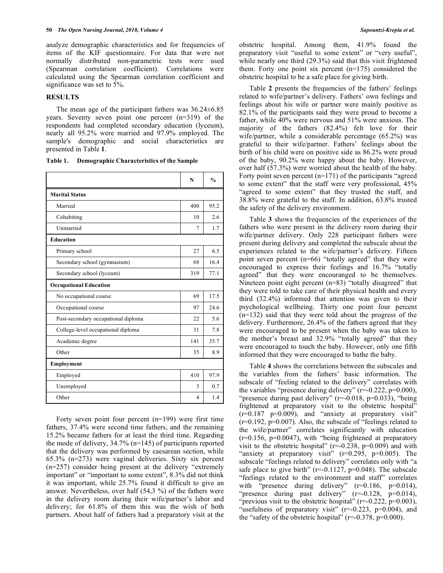analyze demographic characteristics and for frequencies of items of the KIF questionnaire. For data that were not normally distributed non-parametric tests were used (Spearman correlation coefficient). Correlations were calculated using the Spearman correlation coefficient and significance was set to 5%.

## **RESULTS**

The mean age of the participant fathers was  $36.24 \pm 6.85$ years. Seventy seven point one percent (n=319) of the respondents had completed secondary education (lyceum), nearly all 95.2% were married and 97.9% employed. The sample's demographic and social characteristics are presented in Table **1**.

| Table 1. |  | <b>Demographic Characteristics of the Sample</b> |  |
|----------|--|--------------------------------------------------|--|
|----------|--|--------------------------------------------------|--|

|                                     | N   | $\frac{0}{0}$ |  |  |  |  |
|-------------------------------------|-----|---------------|--|--|--|--|
| <b>Marital Status</b>               |     |               |  |  |  |  |
| Married                             | 400 | 95.2          |  |  |  |  |
| Cohabiting                          | 10  | 2.6           |  |  |  |  |
| Unmarried                           | 7   | 1.7           |  |  |  |  |
| <b>Education</b>                    |     |               |  |  |  |  |
| Primary school                      | 27  | 6.5           |  |  |  |  |
| Secondary school (gymnasium)        | 68  | 16.4          |  |  |  |  |
| Secondary school (lyceum)           | 319 | 77.1          |  |  |  |  |
| <b>Occupational Education</b>       |     |               |  |  |  |  |
| No occupational course              | 69  | 17.5          |  |  |  |  |
| Occupational course                 | 97  | 24.6          |  |  |  |  |
| Post-secondary occupational diploma | 22. | 56            |  |  |  |  |
| College-level occupational diploma  | 31  | 7.8           |  |  |  |  |
| Academic degree                     | 141 | 35.7          |  |  |  |  |
| Other                               | 35  | 8.9           |  |  |  |  |
| <b>Employment</b>                   |     |               |  |  |  |  |
| Employed                            | 410 | 97.9          |  |  |  |  |
| Unemployed                          | 3   | 0.7           |  |  |  |  |
| Other                               | 4   | 1.4           |  |  |  |  |

 Forty seven point four percent (n=199) were first time fathers, 37.4% were second time fathers, and the remaining 15.2% became fathers for at least the third time. Regarding the mode of delivery, 34.7% (n=145) of participants reported that the delivery was performed by caesarean section, while 65.3% (n=273) were vaginal deliveries. Sixty six percent (n=257) consider being present at the delivery "extremely important" or "important to some extent", 8.3% did not think it was important, while 25.7% found it difficult to give an answer. Nevertheless, over half (54,3 %) of the fathers were in the delivery room during their wife/partner's labor and delivery; for 61.8% of them this was the wish of both partners. About half of fathers had a preparatory visit at the obstetric hospital. Among them, 41.9% found the preparatory visit "useful to some extent" or "very useful", while nearly one third (29.3%) said that this visit frightened them. Forty one point six percent (n=175) considered the obstetric hospital to be a safe place for giving birth.

 Table **2** presents the frequencies of the fathers' feelings related to wife/partner's delivery. Fathers' own feelings and feelings about his wife or partner were mainly positive as 82.1% of the participants said they were proud to become a father, while 40% were nervous and 51% were anxious. The majority of the fathers (82.4%) felt love for their wife/partner, while a considerable percentage (65.2%) was grateful to their wife/partner. Fathers' feelings about the birth of his child were on positive side as 86.2% were proud of the baby, 90.2% were happy about the baby. However, over half (57.3%) were worried about the health of the baby. Forty point seven percent  $(n=171)$  of the participants "agreed" to some extent" that the staff were very professional, 45% "agreed to some extent" that they trusted the staff, and 38.8% were grateful to the staff. In addition, 63.8% trusted the safety of the delivery environment.

 Table **3** shows the frequencies of the experiences of the fathers who were present in the delivery room during their wife/partner delivery. Only 228 participant fathers were present during delivery and completed the subscale about the experiences related to the wife/partner's delivery. Fifteen point seven percent (n=66) "totally agreed" that they were encouraged to express their feelings and 16.7% "totally agreed" that they were encouranged to be themselves. Nineteen point eight percent (n=83) "totally disagreed" that they were told to take care of their physical health and every third (32.4%) informed that attention was given to their psychological wellbeing. Thirty one point four percent (n=132) said that they were told about the progress of the delivery. Furthermore, 26.4% of the fathers agreed that they were encouraged to be present when the baby was taken to the mother's breast and 32.9% "totally agreed" that they were encouraged to touch the baby. However, only one fifth informed that they were encouraged to bathe the baby.

 Table **4** shows the correlations between the subscales and the variables from the fathers' basic information. The subscale of "feeling related to the delivery" correlates with the variables "presence during delivery" (r=-0.222, p=0.000), "presence during past delivery" (r=-0.018, p=0.033), "being frightened at preparatory visit to the obstetric hospital"  $(r=0.187 \text{ p}=0.009)$ , and "anxiety at preparatory visit"  $(r=0.192, p=0.007)$ . Also, the subscale of "feelings related to the wife/partner" correlates significantly with education  $(r=0.156, p=0.0047)$ , with "being frightened at preparatory visit to the obstetric hospital"  $(r=0.238, p=0.009)$  and with "anxiety at preparatory visit"  $(r=0.295, p=0.005)$ . The subscale "feelings related to delivery" correlates only with "a safe place to give birth"  $(r=0.1127, p=0.048)$ . The subscale "feelings related to the environment and staff" correlates with "presence during delivery"  $(r=0.186, p=0.014)$ , "presence during past delivery"  $(r=-0.128, p=0.014)$ , "previous visit to the obstetric hospital"  $(r=0.222, p=0.003)$ , "usefulness of preparatory visit"  $(r=0.223, p=0.004)$ , and the "safety of the obstetric hospital" ( $r = 0.378$ ,  $p = 0.000$ ).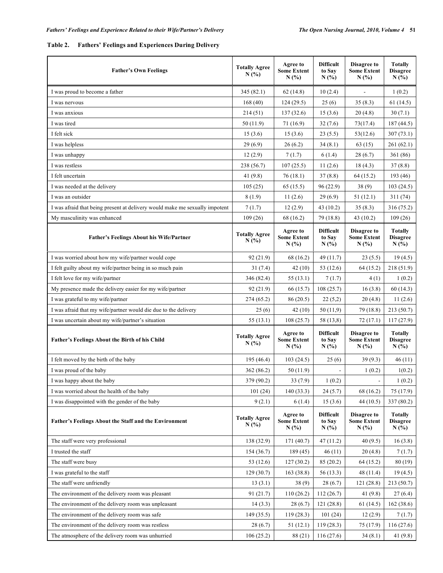# **Table 2. Fathers' Feelings and Experiences During Delivery**

| <b>Father's Own Feelings</b>                                                | <b>Totally Agree</b><br>N(%) | Agree to<br><b>Some Extent</b><br>N(%) | <b>Difficult</b><br>to Say<br>N(%) | Disagree to<br><b>Some Extent</b><br>N(%)           | <b>Totally</b><br><b>Disagree</b><br>N(%)    |
|-----------------------------------------------------------------------------|------------------------------|----------------------------------------|------------------------------------|-----------------------------------------------------|----------------------------------------------|
| I was proud to become a father                                              | 345 (82.1)                   | 62(14.8)                               | 10(2.4)                            |                                                     | 1(0.2)                                       |
| I was nervous                                                               | 168(40)                      | 124(29.5)                              | 25(6)                              | 35(8.3)                                             | 61(14.5)                                     |
| I was anxious                                                               | 214(51)                      | 137(32.6)                              | 15(3.6)                            | 20(4.8)                                             | 30(7.1)                                      |
| I was tired                                                                 | 50 (11.9)                    | 71 (16.9)                              | 32(7.6)                            | 73(17.4)                                            | 187(44.5)                                    |
| I felt sick                                                                 | 15(3.6)                      | 15(3.6)                                | 23(5.5)                            | 53(12.6)                                            | 307(73.1)                                    |
| I was helpless                                                              | 29(6.9)                      | 26(6.2)                                | 34(8.1)                            | 63 (15)                                             | 261 (62.1)                                   |
| I was unhappy                                                               | 12(2.9)                      | 7(1.7)                                 | 6(1.4)                             | 28(6.7)                                             | 361 (86)                                     |
| I was restless                                                              | 238 (56.7)                   | 107(25.5)                              | 11(2.6)                            | 18(4.3)                                             | 37(8.8)                                      |
| I felt uncertain                                                            | 41 (9.8)                     | 76(18.1)                               | 37(8.8)                            | 64 (15.2)                                           | 193 (46)                                     |
| I was needed at the delivery                                                | 105(25)                      | 65 (15.5)                              | 96 (22.9)                          | 38(9)                                               | 103(24.5)                                    |
| I was an outsider                                                           | 8(1.9)                       | 11(2.6)                                | 29(6.9)                            | 51(12.1)                                            | 311 (74)                                     |
| I was afraid that being present at delivery would make me sexually impotent | 7(1.7)                       | 12(2.9)                                | 43 (10.2)                          | 35(8.3)                                             | 316 (75.2)                                   |
| My masculinity was enhanced                                                 | 109(26)                      | 68 (16.2)                              | 79 (18.8)                          | 43(10.2)                                            | 109(26)                                      |
| <b>Father's Feelings About his Wife/Partner</b>                             | <b>Totally Agree</b><br>N(%) | Agree to<br><b>Some Extent</b><br>N(%) | <b>Difficult</b><br>to Say<br>N(%) | Disagree to<br><b>Some Extent</b><br>N(%)           | <b>Totally</b><br><b>Disagree</b><br>N(%)    |
| I was worried about how my wife/partner would cope                          | 92 (21.9)                    | 68 (16.2)                              | 49 (11.7)                          | 23(5.5)                                             | 19(4.5)                                      |
| I felt guilty about my wife/partner being in so much pain                   | 31(7.4)                      | 42(10)                                 | 53 (12.6)                          | 64 (15.2)                                           | 218 (51.9)                                   |
| I felt love for my wife/partner                                             | 346 (82.4)                   | 55(13.1)                               | 7(1.7)                             | 4(1)                                                | 1(0.2)                                       |
| My presence made the delivery easier for my wife/partner                    | 92(21.9)                     | 66 (15.7)                              | 108(25.7)                          | 16(3.8)                                             | 60(14.3)                                     |
| I was grateful to my wife/partner                                           | 274 (65.2)                   | 86(20.5)                               | 22(5,2)                            | 20(4.8)                                             | 11(2.6)                                      |
| I was afraid that my wife/partner would die due to the delivery             | 25(6)                        | 42(10)                                 | 50(11,9)                           | 79 (18.8)                                           | 213(50.7)                                    |
| I was uncertain about my wife/partner's situation                           | 55(13.1)                     | 108(25.7)                              | 58 (13,8)                          | 72 (17.1)                                           | 117(27.9)                                    |
| <b>Father's Feelings About the Birth of his Child</b>                       | <b>Totally Agree</b><br>N(%  | Agree to<br><b>Some Extent</b><br>N(%) | <b>Difficult</b><br>to Say<br>N(%) | Disagree to<br><b>Some Extent</b><br>N(%)           | <b>Totally</b><br><b>Disagree</b><br>$N(\%)$ |
| I felt moved by the birth of the baby                                       | 195 (46.4)                   | 103(24.5)                              | 25(6)                              | 39(9.3)                                             | 46(11)                                       |
| I was proud of the baby                                                     | 362 (86.2)                   | 50 (11.9)                              |                                    | 1(0.2)                                              | 1(0.2)                                       |
| I was happy about the baby                                                  | 379 (90.2)                   | 33(7.9)                                | 1(0.2)                             |                                                     | 1(0.2)                                       |
| I was worried about the health of the baby                                  | 101(24)                      | 140(33.3)                              | 24(5.7)                            | 68 (16.2)                                           | 75 (17.9)                                    |
| I was disappointed with the gender of the baby                              | 9(2.1)                       | 6(1.4)                                 | 15(3.6)                            | 44 (10.5)                                           | 337 (80.2)                                   |
| Father's Feelings About the Staff and the Environment                       | <b>Totally Agree</b><br>N(%) | Agree to<br><b>Some Extent</b><br>N(%) | <b>Difficult</b><br>to Say<br>N(%) | <b>Disagree to</b><br><b>Some Extent</b><br>$N(\%)$ | <b>Totally</b><br><b>Disagree</b><br>N(%)    |
| The staff were very professional                                            | 138 (32.9)                   | 171 (40.7)                             | 47(11.2)                           | 40(9.5)                                             | 16(3.8)                                      |
| I trusted the staff                                                         | 154(36.7)                    | 189(45)                                | 46(11)                             | 20(4.8)                                             | 7(1.7)                                       |
| The staff were busy                                                         | 53 (12.6)                    | 127(30.2)                              | 85 (20.2)                          | 64 (15.2)                                           | 80 (19)                                      |
| I was grateful to the staff                                                 | 129(30.7)                    | 163(38.8)                              | 56 (13.3)                          | 48(11.4)                                            | 19(4.5)                                      |
| The staff were unfriendly                                                   | 13(3.1)                      | 38(9)                                  | 28 (6.7)                           | 121 (28.8)                                          | 213 (50.7)                                   |
| The environment of the delivery room was pleasant                           | 91(21.7)                     | 110(26.2)                              | 112(26.7)                          | 41 $(9.8)$                                          | 27(6.4)                                      |
| The environment of the delivery room was unpleasant                         | 14(3.3)                      | 28(6.7)                                | 121(28.8)                          | 61(14.5)                                            | 162(38.6)                                    |
| The environment of the delivery room was safe                               | 149 (35.5)                   | 119(28.3)                              | 101(24)                            | 12(2.9)                                             | 7(1.7)                                       |
| The environment of the delivery room was restless                           | 28(6.7)                      | 51(12.1)                               | 119(28.3)                          | 75 (17.9)                                           | 116(27.6)                                    |
| The atmosphere of the delivery room was unhurried                           | 106(25.2)                    | 88 (21)                                | 116(27.6)                          | 34(8.1)                                             | 41 $(9.8)$                                   |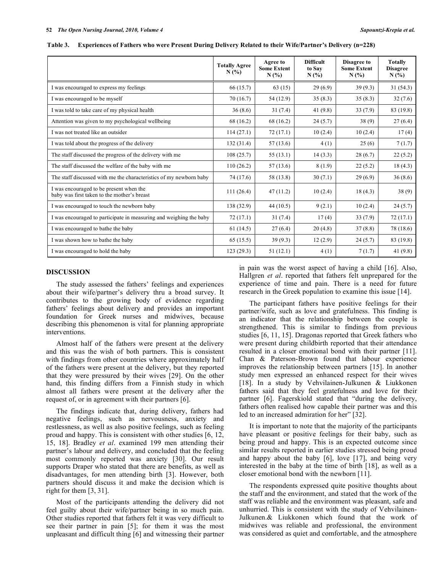| Table 3. Experiences of Fathers who were Present During Delivery Related to their Wife/Partner's Delivery (n=228) |  |
|-------------------------------------------------------------------------------------------------------------------|--|
|                                                                                                                   |  |

|                                                                                        | <b>Totally Agree</b><br>N(%) | Agree to<br><b>Some Extent</b><br>N(% | <b>Difficult</b><br>to Sav<br>$N(\%)$ | Disagree to<br><b>Some Extent</b><br>N(%) | <b>Totally</b><br><b>Disagree</b><br>N(%) |
|----------------------------------------------------------------------------------------|------------------------------|---------------------------------------|---------------------------------------|-------------------------------------------|-------------------------------------------|
| I was encouraged to express my feelings                                                | 66 (15.7)                    | 63(15)                                | 29(6.9)                               | 39(9.3)                                   | 31(54.3)                                  |
| I was encouraged to be myself                                                          | 70(16.7)                     | 54 (12.9)                             | 35(8.3)                               | 35(8.3)                                   | 32(7.6)                                   |
| I was told to take care of my physical health                                          | 36(8.6)                      | 31(7.4)                               | 41 $(9.8)$                            | 33(7.9)                                   | 83 (19.8)                                 |
| Attention was given to my psychological wellbeing                                      | 68 (16.2)                    | 68 (16.2)                             | 24(5.7)                               | 38(9)                                     | 27(6.4)                                   |
| I was not treated like an outsider                                                     | 114(27.1)                    | 72(17.1)                              | 10(2.4)                               | 10(2.4)                                   | 17(4)                                     |
| I was told about the progress of the delivery                                          | 132(31.4)                    | 57(13.6)                              | 4(1)                                  | 25(6)                                     | 7(1.7)                                    |
| The staff discussed the progress of the delivery with me                               | 108(25.7)                    | 55(13.1)                              | 14(3.3)                               | 28(6.7)                                   | 22(5.2)                                   |
| The staff discussed the welfare of the baby with me                                    | 110(26.2)                    | 57(13.6)                              | 8(1.9)                                | 22(5.2)                                   | 18(4.3)                                   |
| The staff discussed with me the characteristics of my newborn baby                     | 74 (17.6)                    | 58 (13.8)                             | 30(7.1)                               | 29(6.9)                                   | 36(8.6)                                   |
| I was encouraged to be present when the<br>baby was first taken to the mother's breast | 111(26.4)                    | 47(11.2)                              | 10(2.4)                               | 18(4.3)                                   | 38(9)                                     |
| I was encouraged to touch the newborn baby                                             | 138 (32.9)                   | 44(10.5)                              | 9(2.1)                                | 10(2.4)                                   | 24(5.7)                                   |
| I was encouraged to participate in measuring and weighing the baby                     | 72(17.1)                     | 31(7.4)                               | 17(4)                                 | 33(7.9)                                   | 72(17.1)                                  |
| I was encouraged to bathe the baby                                                     | 61(14.5)                     | 27(6.4)                               | 20(4.8)                               | 37(8.8)                                   | 78 (18.6)                                 |
| I was shown how to bathe the baby                                                      | 65 (15.5)                    | 39(9.3)                               | 12(2.9)                               | 24(5.7)                                   | 83 (19.8)                                 |
| I was encouraged to hold the baby                                                      | 123(29.3)                    | 51(12.1)                              | 4(1)                                  | 7(1.7)                                    | 41 $(9.8)$                                |

#### **DISCUSSION**

 The study assessed the fathers' feelings and experiences about their wife/partner's delivery thru a broad survey. It contributes to the growing body of evidence regarding fathers' feelings about delivery and provides an important foundation for Greek nurses and midwives, because describing this phenomenon is vital for planning appropriate interventions.

 Almost half of the fathers were present at the delivery and this was the wish of both partners. This is consistent with findings from other countries where approximately half of the fathers were present at the delivery, but they reported that they were pressured by their wives [29]. On the other hand, this finding differs from a Finnish study in which almost all fathers were present at the delivery after the request of, or in agreement with their partners [6].

 The findings indicate that, during delivery, fathers had negative feelings, such as nervousness, anxiety and restlessness, as well as also positive feelings, such as feeling proud and happy. This is consistent with other studies [6, 12, 15, 18]. Bradley *et al*. examined 199 men attending their partner's labour and delivery, and concluded that the feeling most commonly reported was anxiety [30]. Our result supports Draper who stated that there are benefits, as well as disadvantages, for men attending birth [3]. However, both partners should discuss it and make the decision which is right for them [3, 31].

 Most of the participants attending the delivery did not feel guilty about their wife/partner being in so much pain. Other studies reported that fathers felt it was very difficult to see their partner in pain [5]; for them it was the most unpleasant and difficult thing [6] and witnessing their partner

in pain was the worst aspect of having a child [16]. Also, Hallgren *et al*. reported that fathers felt unprepared for the experience of time and pain. There is a need for future research in the Greek population to examine this issue [14].

 The participant fathers have positive feelings for their partner/wife, such as love and gratefulness. This finding is an indicator that the relationship between the couple is strengthened. This is similar to findings from previous studies [6, 11, 15]. Dragonas reported that Greek fathers who were present during childbirth reported that their attendance resulted in a closer emotional bond with their partner [11]. Chan & Paterson-Brown found that labour experience improves the relationship between partners [15]. In another study men expressed an enhanced respect for their wives [18]. In a study by Vehvilainen-Julkunen & Liukkonen fathers said that they feel gratefulness and love for their partner [6]. Fagerskiold stated that "during the delivery, fathers often realised how capable their partner was and this led to an increased admiration for her" [32].

 It is important to note that the majority of the participants have pleasant or positive feelings for their baby, such as being proud and happy. This is an expected outcome since similar results reported in earlier studies stressed being proud and happy about the baby [6], love [17], and being very interested in the baby at the time of birth [18], as well as a closer emotional bond with the newborn [11].

 The respondents expressed quite positive thoughts about the staff and the environment, and stated that the work of the staff was reliable and the environment was pleasant, safe and unhurried. This is consistent with the study of Vehvilainen-Julkunen.& Liukkonen which found that the work of midwives was reliable and professional, the environment was considered as quiet and comfortable, and the atmosphere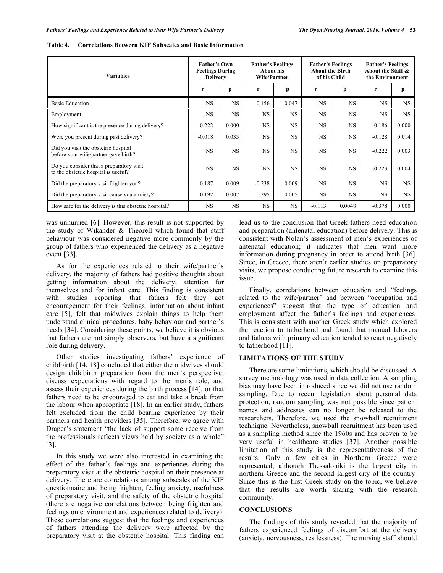| <b>Variables</b>                                                                 | <b>Father's Own</b><br><b>Feelings During</b><br><b>Delivery</b> |           | <b>Father's Feelings</b><br><b>About his</b><br><b>Wife/Partner</b> |           | <b>Father's Feelings</b><br><b>About the Birth</b><br>of his Child |           | <b>Father's Feelings</b><br>About the Staff &<br>the Environment |           |
|----------------------------------------------------------------------------------|------------------------------------------------------------------|-----------|---------------------------------------------------------------------|-----------|--------------------------------------------------------------------|-----------|------------------------------------------------------------------|-----------|
|                                                                                  | r                                                                | p         | r                                                                   | p         | r                                                                  | p         | r                                                                | p         |
| <b>Basic Education</b>                                                           | <b>NS</b>                                                        | <b>NS</b> | 0.156                                                               | 0.047     | <b>NS</b>                                                          | <b>NS</b> | <b>NS</b>                                                        | NS.       |
| Employment                                                                       | <b>NS</b>                                                        | <b>NS</b> | <b>NS</b>                                                           | <b>NS</b> | <b>NS</b>                                                          | <b>NS</b> | <b>NS</b>                                                        | NS.       |
| How significant is the presence during delivery?                                 | $-0.222$                                                         | 0.000     | <b>NS</b>                                                           | <b>NS</b> | <b>NS</b>                                                          | <b>NS</b> | 0.186                                                            | 0.000     |
| Were you present during past delivery?                                           | $-0.018$                                                         | 0.033     | <b>NS</b>                                                           | <b>NS</b> | <b>NS</b>                                                          | <b>NS</b> | $-0.128$                                                         | 0.014     |
| Did you visit the obstetric hospital<br>before your wife/partner gave birth?     | <b>NS</b>                                                        | <b>NS</b> | <b>NS</b>                                                           | <b>NS</b> | <b>NS</b>                                                          | <b>NS</b> | $-0.222$                                                         | 0.003     |
| Do you consider that a preparatory visit<br>to the obstetric hospital is useful? | <b>NS</b>                                                        | <b>NS</b> | <b>NS</b>                                                           | <b>NS</b> | <b>NS</b>                                                          | <b>NS</b> | $-0.223$                                                         | 0.004     |
| Did the preparatory visit frighten you?                                          | 0.187                                                            | 0.009     | $-0.238$                                                            | 0.009     | <b>NS</b>                                                          | <b>NS</b> | <b>NS</b>                                                        | <b>NS</b> |
| Did the preparatory visit cause you anxiety?                                     | 0.192                                                            | 0.007     | 0.295                                                               | 0.005     | <b>NS</b>                                                          | <b>NS</b> | <b>NS</b>                                                        | NS.       |
| How safe for the delivery is this obstetric hospital?                            | <b>NS</b>                                                        | <b>NS</b> | <b>NS</b>                                                           | <b>NS</b> | $-0.113$                                                           | 0.0048    | $-0.378$                                                         | 0.000     |

**Table 4. Correlations Between KIF Subscales and Basic Information** 

was unhurried [6]. However, this result is not supported by the study of Wikander & Theorell which found that staff behaviour was considered negative more commonly by the group of fathers who experienced the delivery as a negative event [33].

 As for the experiences related to their wife/partner's delivery, the majority of fathers had positive thoughts about getting information about the delivery, attention for themselves and for infant care. This finding is consistent with studies reporting that fathers felt they got encouragement for their feelings, information about infant care [5], felt that midwives explain things to help them understand clinical procedures, baby behaviour and partner's needs [34]. Considering these points, we believe it is obvious that fathers are not simply observers, but have a significant role during delivery.

 Other studies investigating fathers' experience of childbirth [14, 18] concluded that either the midwives should design childbirth preparation from the men's perspective, discuss expectations with regard to the men's role, and assess their experiences during the birth process [14], or that fathers need to be encouraged to eat and take a break from the labour when appropriate [18]. In an earlier study, fathers felt excluded from the child bearing experience by their partners and health providers [35]. Therefore, we agree with Draper's statement "the lack of support some receive from the professionals reflects views held by society as a whole" [3].

 In this study we were also interested in examining the effect of the father's feelings and experiences during the preparatory visit at the obstetric hospital on their presence at delivery. There are correlations among subscales of the KIF questionnaire and being frighten, feeling anxiety, usefulness of preparatory visit, and the safety of the obstetric hospital (there are negative correlations between being frighten and feelings on environment and experiences related to delivery). These correlations suggest that the feelings and experiences of fathers attending the delivery were affected by the preparatory visit at the obstetric hospital. This finding can

lead us to the conclusion that Greek fathers need education and preparation (antenatal education) before delivery. This is consistent with Nolan's assessment of men's experiences of antenatal education; it indicates that men want more information during pregnancy in order to attend birth [36]. Since, in Greece, there aren't earlier studies on preparatory visits, we propose conducting future research to examine this issue.

 Finally, correlations between education and "feelings related to the wife/partner" and between "occupation and experiences" suggest that the type of education and employment affect the father's feelings and experiences. This is consistent with another Greek study which explored the reaction to fatherhood and found that manual laborers and fathers with primary education tended to react negatively to fatherhood [11].

## **LIMITATIONS OF THE STUDY**

 There are some limitations, which should be discussed. A survey methodology was used in data collection. A sampling bias may have been introduced since we did not use random sampling. Due to recent legislation about personal data protection, random sampling was not possible since patient names and addresses can no longer be released to the researchers. Therefore, we used the snowball recruitment technique. Nevertheless, snowball recruitment has been used as a sampling method since the 1960s and has proven to be very useful in healthcare studies [37]. Another possible limitation of this study is the representativeness of the results. Only a few cities in Northern Greece were represented, although Thessaloniki is the largest city in northern Greece and the second largest city of the country. Since this is the first Greek study on the topic, we believe that the results are worth sharing with the research community.

#### **CONCLUSIONS**

 The findings of this study revealed that the majority of fathers experienced feelings of discomfort at the delivery (anxiety, nervousness, restlessness). The nursing staff should